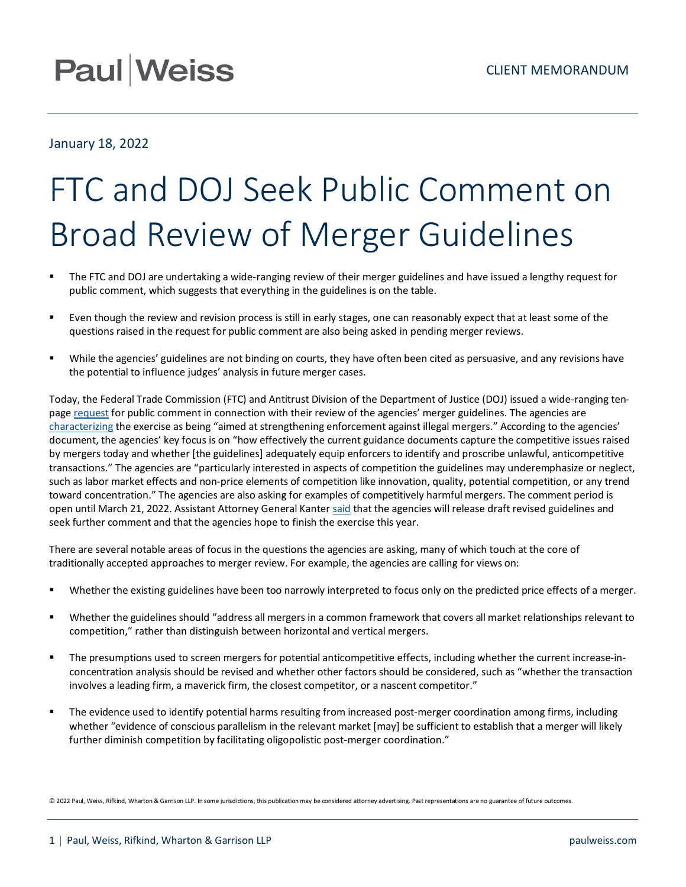## **Paul Weiss**

## January 18, 2022

## FTC and DOJ Seek Public Comment on Broad Review of Merger Guidelines

- The FTC and DOJ are undertaking a wide-ranging review of their merger guidelines and have issued a lengthy request for public comment, which suggests that everything in the guidelines is on the table.
- Even though the review and revision process is still in early stages, one can reasonably expect that at least some of the questions raised in the request for public comment are also being asked in pending merger reviews.
- While the agencies' guidelines are not binding on courts, they have often been cited as persuasive, and any revisions have the potential to influence judges' analysis in future merger cases.

Today, the Federal Trade Commission (FTC) and Antitrust Division of the Department of Justice (DOJ) issued a wide-ranging tenpage [request](https://www.regulations.gov/document/FTC-2022-0003-0001) for public comment in connection with their review of the agencies' merger guidelines. The agencies are [characterizing](https://www.justice.gov/opa/pr/justice-department-and-federal-trade-commission-seek-strengthen-enforcement-against-illegal) the exercise as being "aimed at strengthening enforcement against illegal mergers." According to the agencies' document, the agencies' key focus is on "how effectively the current guidance documents capture the competitive issues raised by mergers today and whether [the guidelines] adequately equip enforcers to identify and proscribe unlawful, anticompetitive transactions." The agencies are "particularly interested in aspects of competition the guidelines may underemphasize or neglect, such as labor market effects and non-price elements of competition like innovation, quality, potential competition, or any trend toward concentration." The agencies are also asking for examples of competitively harmful mergers. The comment period is open until March 21, 2022. Assistant Attorney General Kanter [said](https://www.justice.gov/opa/speech/assistant-attorney-general-jonathan-kanter-delivers-remarks-modernizing-merger-guidelines) that the agencies will release draft revised guidelines and seek further comment and that the agencies hope to finish the exercise this year.

There are several notable areas of focus in the questions the agencies are asking, many of which touch at the core of traditionally accepted approaches to merger review. For example, the agencies are calling for views on:

- Whether the existing guidelines have been too narrowly interpreted to focus only on the predicted price effects of a merger.
- Whether the guidelines should "address all mergers in a common framework that covers all market relationships relevant to competition," rather than distinguish between horizontal and vertical mergers.
- The presumptions used to screen mergers for potential anticompetitive effects, including whether the current increase-inconcentration analysis should be revised and whether other factors should be considered, such as "whether the transaction involves a leading firm, a maverick firm, the closest competitor, or a nascent competitor."
- The evidence used to identify potential harms resulting from increased post-merger coordination among firms, including whether "evidence of conscious parallelism in the relevant market [may] be sufficient to establish that a merger will likely further diminish competition by facilitating oligopolistic post-merger coordination."

© 2022 Paul, Weiss, Rifkind, Wharton & Garrison LLP. In some jurisdictions, this publication may be considered attorney advertising. Past representations are no guarantee of future outcomes.